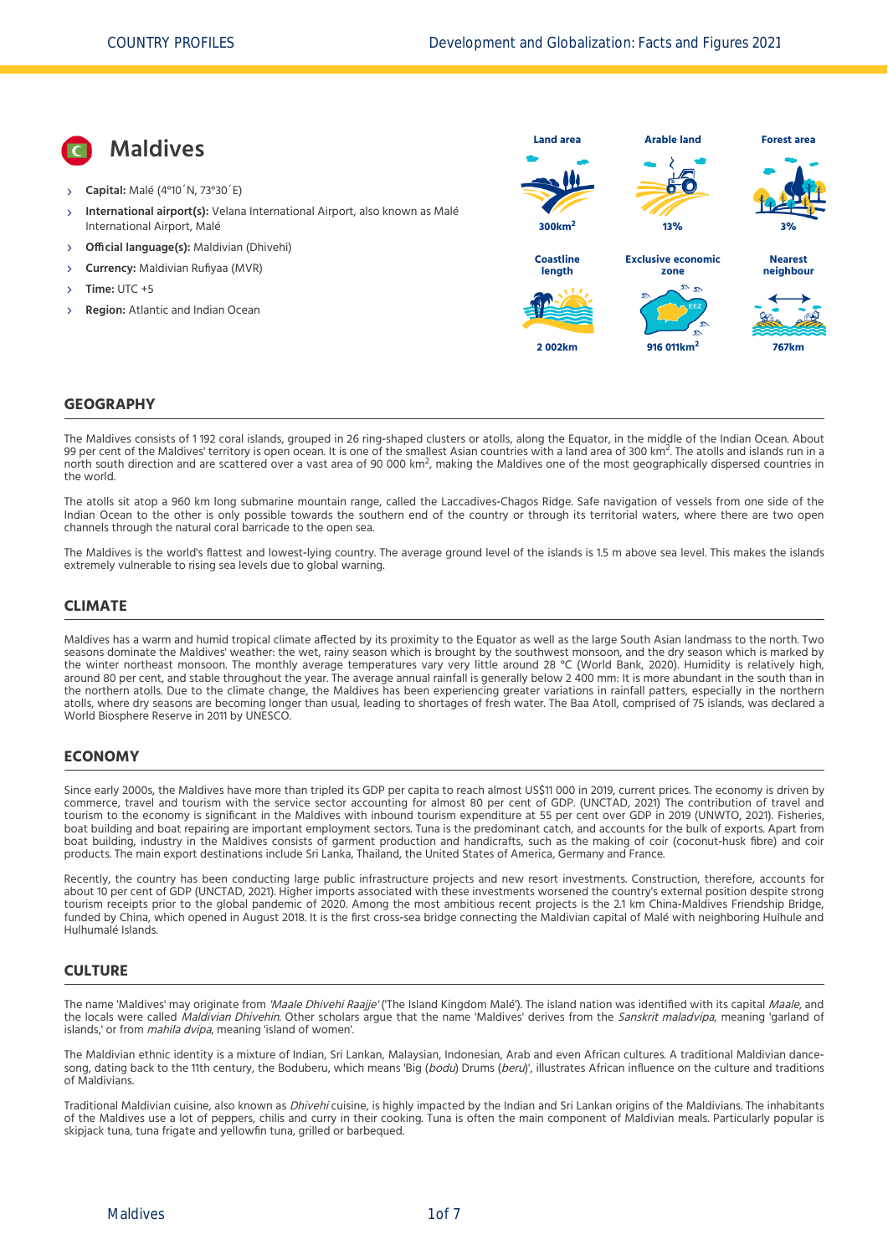**Maldives Capital:** Malé (4°10´N, 73°30´E) **International airport(s):** Velana International Airport, also known as Malé International Airport, Malé  $\overline{\phantom{a}}$  **Official language(s):** Maldivian (Dhivehi) **Currency:** Maldivian Rufiyaa (MVR) **Time:** UTC +5 **Region:** Atlantic and Indian Ocean **Land area 300km<sup>2</sup> Arable land 13% Forest area 3% Coastline length 2 002km Exclusive economic zone 916 011km<sup>2</sup> Nearest neighbour 767km**

#### **GEOGRAPHY**

The Maldives consists of 1 192 coral islands, grouped in 26 ring-shaped clusters or atolls, along the Equator, in the middle of the Indian Ocean. About 99 per cent of the Maldives' territory is open ocean. It is one of the smallest Asian countries with a land area of 300 km<sup>2</sup>. The atolls and area of 300 km<sup>2</sup>. The atolls and area of 300 km<sup>2</sup>. The atolls and islands run For term of the maldives termory is open ocean, it is one of the smallest Asian countries with a land area of 500 km. The atolls and islands furth a<br>north south direction and are scattered over a vast area of 90 000 km<sup>2</sup>, the world.

The atolls sit atop a 960 km long submarine mountain range, called the Laccadives-Chagos Ridge. Safe navigation of vessels from one side of the Indian Ocean to the other is only possible towards the southern end of the country or through its territorial waters, where there are two open channels through the natural coral barricade to the open sea.

The Maldives is the world's flattest and lowest-lying country. The average ground level of the islands is 1.5 m above sea level. This makes the islands extremely vulnerable to rising sea levels due to global warning.

#### **CLIMATE**

Maldives has a warm and humid tropical climate affected by its proximity to the Equator as well as the large South Asian landmass to the north. Two seasons dominate the Maldives' weather: the wet, rainy season which is brought by the southwest monsoon, and the dry season which is marked by the winter northeast monsoon. The monthly average temperatures vary very little around 28 °C [\(World Bank, 2020\)](#page-6-0). Humidity is relatively high, around 80 per cent, and stable throughout the year. The average annual rainfall is generally below 2 400 mm: It is more abundant in the south than in the northern atolls. Due to the climate change, the Maldives has been experiencing greater variations in rainfall patters, especially in the northern atolls, where dry seasons are becoming longer than usual, leading to shortages of fresh water. The Baa Atoll, comprised of 75 islands, was declared a World Biosphere Reserve in 2011 by UNESCO.

#### **ECONOMY**

Since early 2000s, the Maldives have more than tripled its GDP per capita to reach almost US\$11 000 in 2019, current prices. The economy is driven by commerce, travel and tourism with the service sector accounting for almost 80 per cent of GDP. [\(UNCTAD, 2021\)](#page-6-1) The contribution of travel and tourism to the economy is significant in the Maldives with inbound tourism expenditure at 55 per cent over GDP in 2019 [\(UNWTO, 2021\).](#page-6-2) Fisheries, boat building and boat repairing are important employment sectors. Tuna is the predominant catch, and accounts for the bulk of exports. Apart from boat building, industry in the Maldives consists of garment production and handicrafts, such as the making of coir (coconut-husk fibre) and coir products. The main export destinations include Sri Lanka, Thailand, the United States of America, Germany and France.

Recently, the country has been conducting large public infrastructure projects and new resort investments. Construction, therefore, accounts for about 10 per cent of GDP [\(UNCTAD, 2021\).](#page-6-1) Higher imports associated with these investments worsened the country's external position despite strong tourism receipts prior to the global pandemic of 2020. Among the most ambitious recent projects is the 2.1 km China‐Maldives Friendship Bridge, funded by China, which opened in August 2018. It is the first cross‐sea bridge connecting the Maldivian capital of Malé with neighboring Hulhule and Hulhumalé Islands.

#### **CULTURE**

The name 'Maldives' may originate from 'Maale Dhivehi Raajje' ('The Island Kingdom Malé'). The island nation was identified with its capital Maale, and the locals were called Maldivian Dhivehin. Other scholars argue that the name 'Maldives' derives from the Sanskrit maladvipa, meaning 'garland of islands,' or from mahila dvipa, meaning 'island of women'.

The Maldivian ethnic identity is a mixture of Indian, Sri Lankan, Malaysian, Indonesian, Arab and even African cultures. A traditional Maldivian dancesong, dating back to the 11th century, the Boduberu, which means 'Big (bodu) Drums (beru)', illustrates African influence on the culture and traditions of Maldivians.

Traditional Maldivian cuisine, also known as *Dhivehi* cuisine, is highly impacted by the Indian and Sri Lankan origins of the Maldivians. The inhabitants of the Maldives use a lot of peppers, chilis and curry in their cooking. Tuna is often the main component of Maldivian meals. Particularly popular is skipjack tuna, tuna frigate and yellowfin tuna, grilled or barbequed.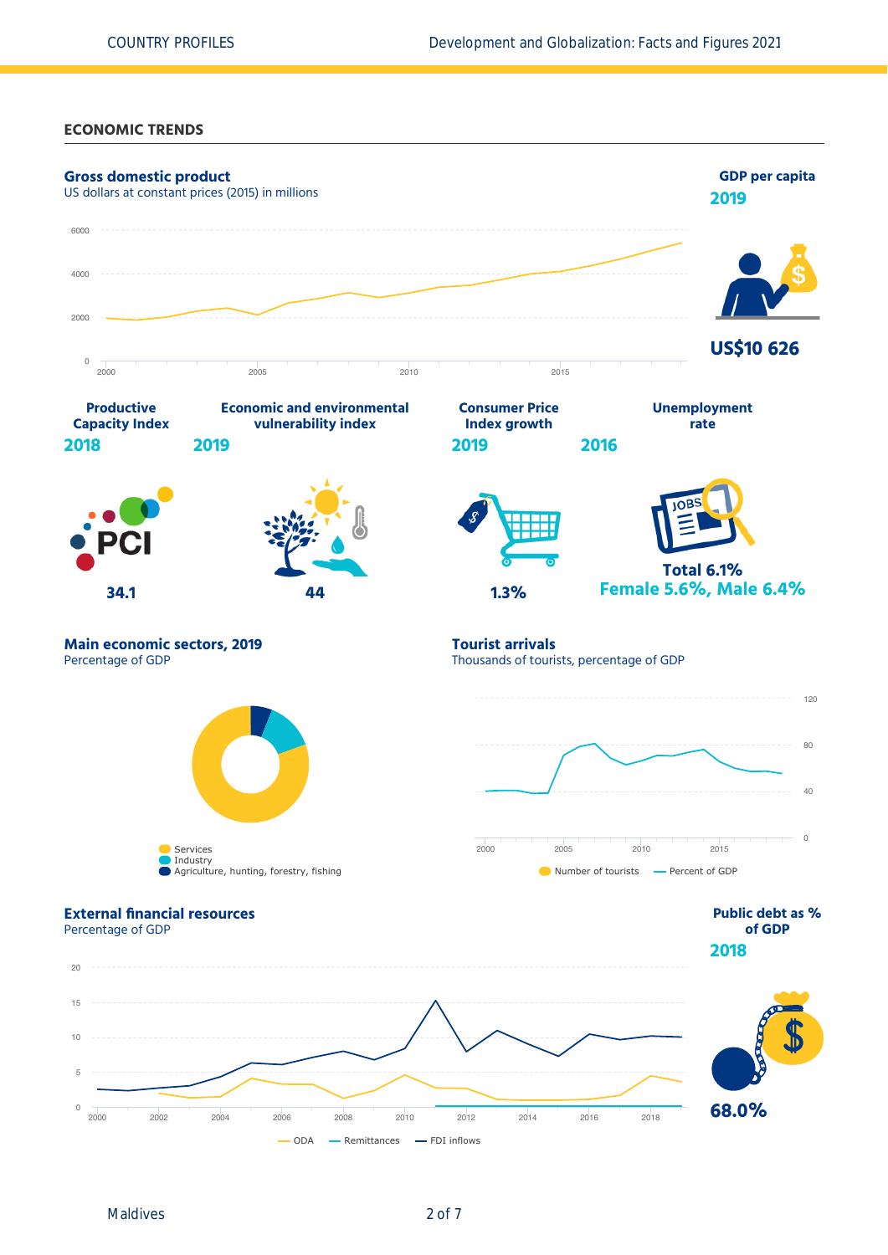**ECONOMIC TRENDS**



Maldives 2 of 7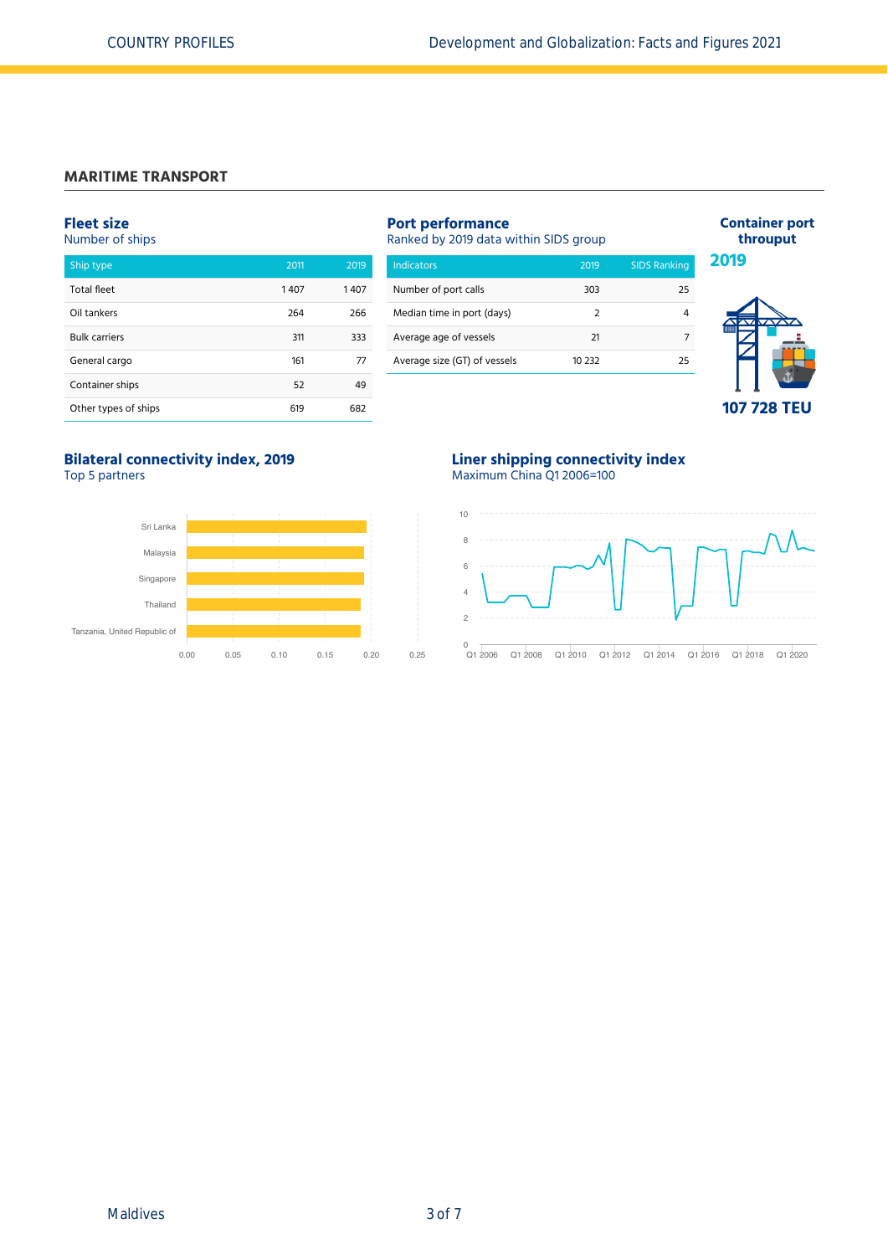# **MARITIME TRANSPORT**

# **Fleet size**

Number of ships

| Ship type            | 2011 | 2019 |
|----------------------|------|------|
| <b>Total fleet</b>   | 1407 | 1407 |
| Oil tankers          | 264  | 266  |
| <b>Bulk carriers</b> | 311  | 333  |
| General cargo        | 161  | 77   |
| Container ships      | 52   | 49   |
| Other types of ships | 619  | 682  |

| <b>Port performance</b><br>Ranked by 2019 data within SIDS group |                |                     |  |  |  |
|------------------------------------------------------------------|----------------|---------------------|--|--|--|
| <b>Indicators</b>                                                | 2019           | <b>SIDS Ranking</b> |  |  |  |
| Number of port calls                                             | 303            | 25                  |  |  |  |
| Median time in port (days)                                       | $\overline{2}$ | 4                   |  |  |  |
| Average age of vessels                                           | 21             | 7                   |  |  |  |
| Average size (GT) of vessels                                     | 10 232         | 25                  |  |  |  |



**Container port throuput**

# **Bilateral connectivity index, 2019**

Top 5 partners



## **Liner shipping connectivity index** Maximum China Q1 2006=100

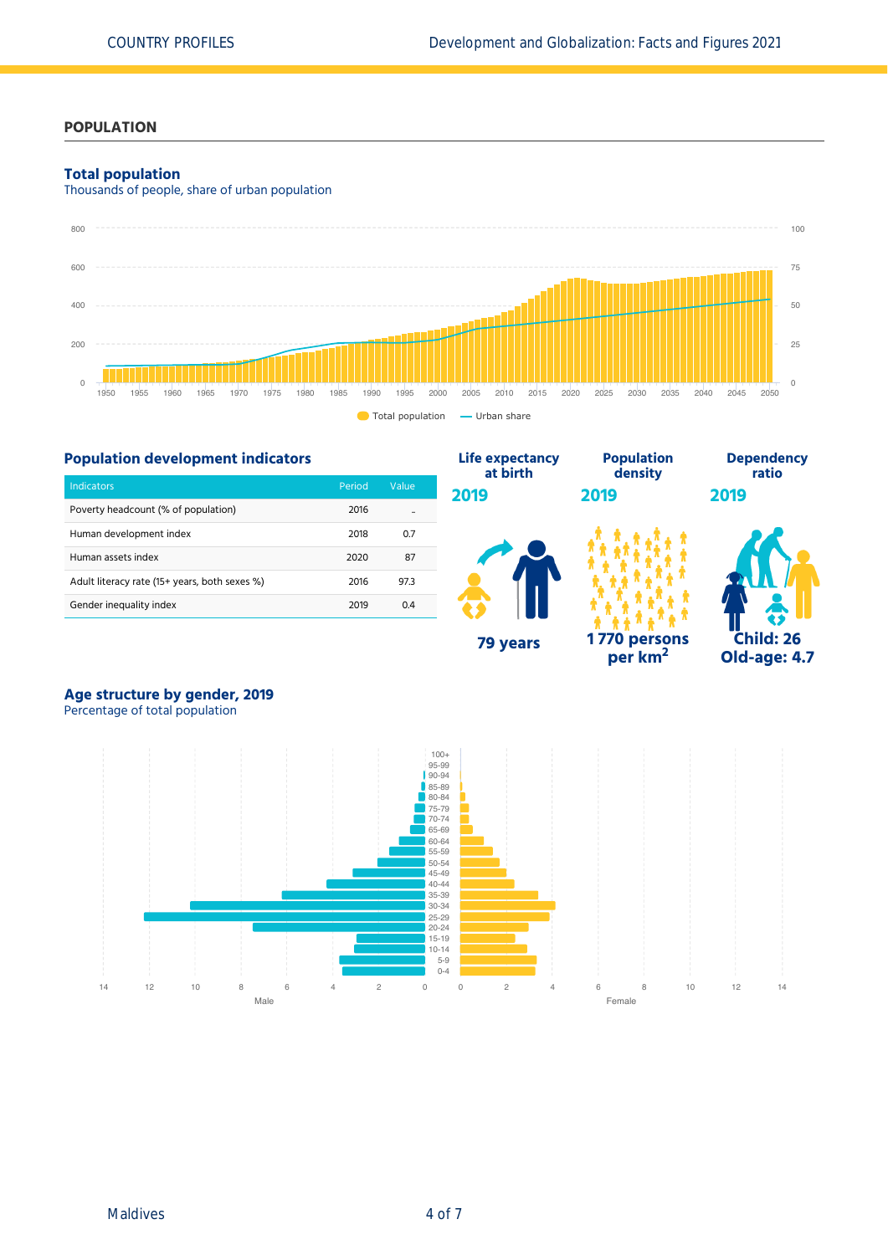### **POPULATION**

#### **Total population**

Thousands of people, share of urban population





# **Age structure by gender, 2019**

Percentage of total population

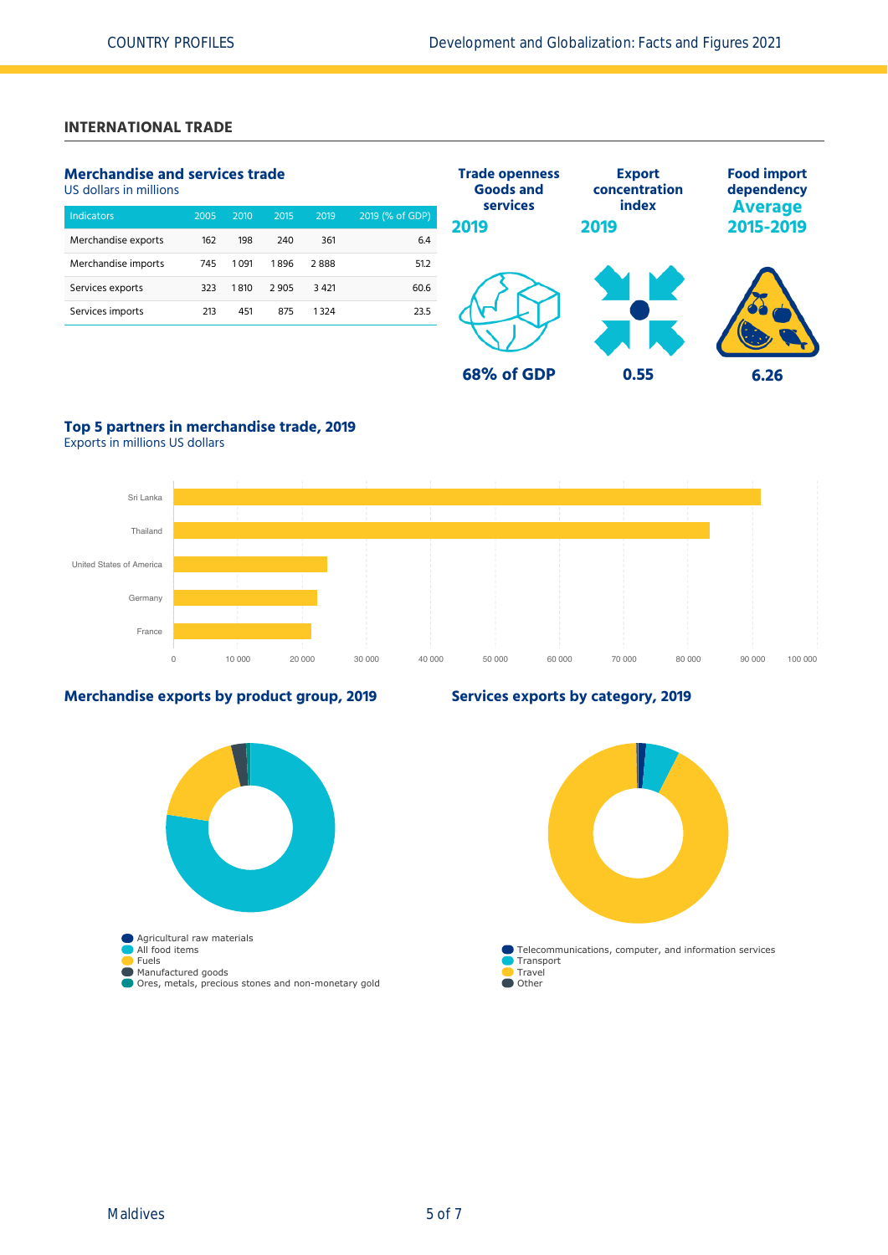# **INTERNATIONAL TRADE**

# **Merchandise and services trade**

US dollars in millions

| <b>Indicators</b>   | 2005 | 2010 | 2015 | 2019   | 2019 (% of GDP) |
|---------------------|------|------|------|--------|-----------------|
| Merchandise exports | 162  | 198  | 240  | 361    | 6.4             |
| Merchandise imports | 745  | 1091 | 1896 | 2888   | 51.2            |
| Services exports    | 323  | 1810 | 2905 | 3 4 21 | 60.6            |
| Services imports    | 213  | 451  | 875  | 1324   | 23.5            |
|                     |      |      |      |        |                 |



# **Top 5 partners in merchandise trade, 2019**

Exports in millions US dollars



### **Merchandise exports by product group, 2019**



# **Services exports by category, 2019**

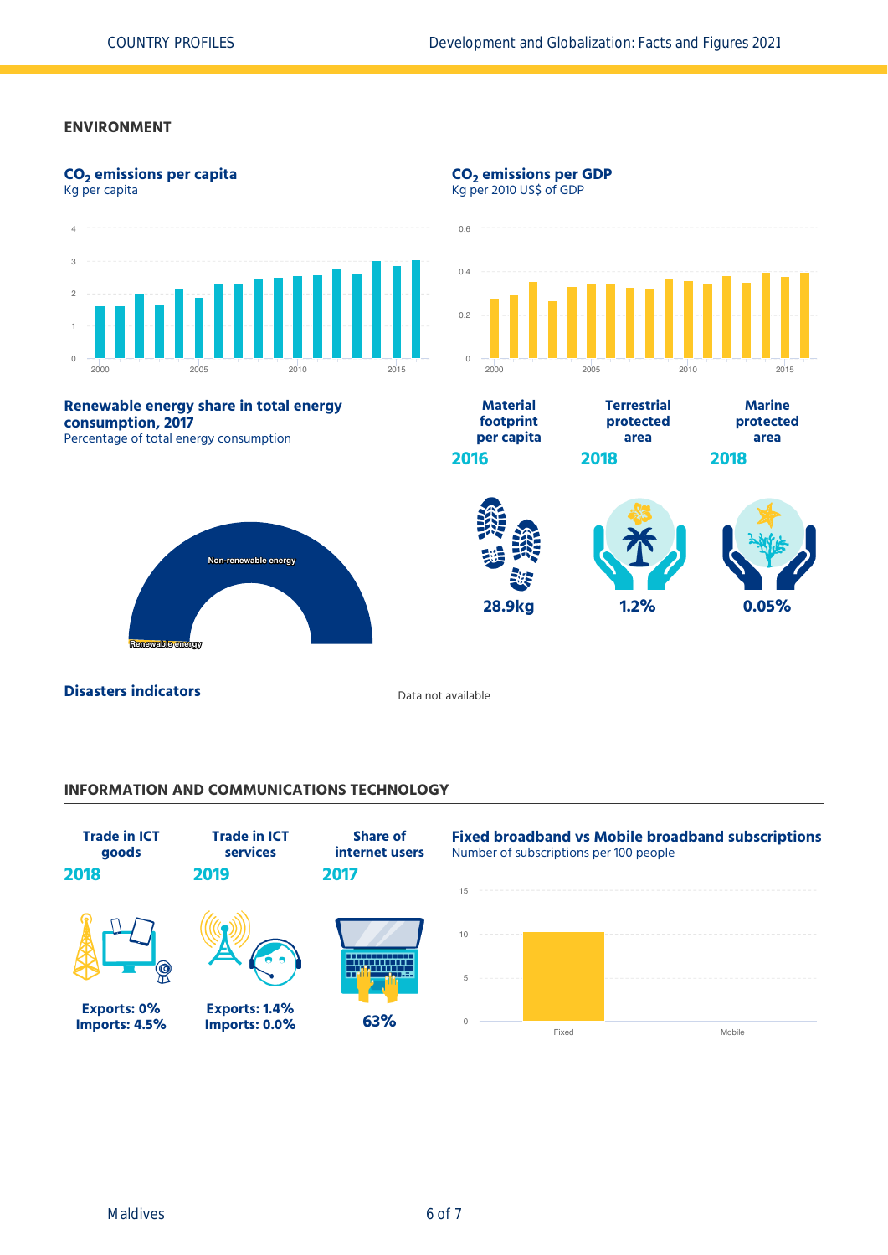## **ENVIRONMENT**



# **INFORMATION AND COMMUNICATIONS TECHNOLOGY**